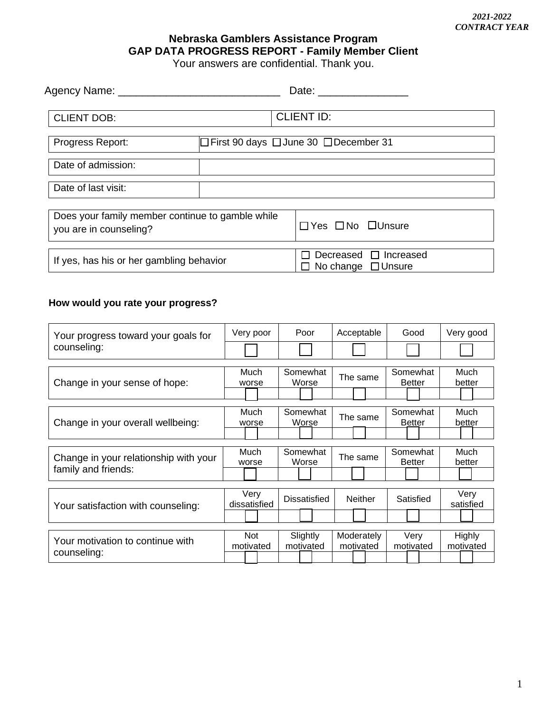## **Nebraska Gamblers Assistance Program GAP DATA PROGRESS REPORT - Family Member Client**

Your answers are confidential. Thank you.

| Agency Name: _______________________                                       |  |                                                       |  |  |
|----------------------------------------------------------------------------|--|-------------------------------------------------------|--|--|
| <b>CLIENT DOB:</b>                                                         |  | <b>CLIENT ID:</b>                                     |  |  |
| $\Box$ First 90 days $\Box$ June 30 $\Box$ December 31<br>Progress Report: |  |                                                       |  |  |
| Date of admission:                                                         |  |                                                       |  |  |
| Date of last visit:                                                        |  |                                                       |  |  |
| Does your family member continue to gamble while<br>you are in counseling? |  | $\Box$ Yes $\Box$ No $\Box$ Unsure                    |  |  |
| If yes, has his or her gambling behavior                                   |  | Decreased $\Box$ Increased<br>No change $\Box$ Unsure |  |  |

## **How would you rate your progress?**

| Your progress toward your goals for<br>counseling:           | Very poor            | Poor              | Acceptable     | Good                      | Very good         |  |  |
|--------------------------------------------------------------|----------------------|-------------------|----------------|---------------------------|-------------------|--|--|
|                                                              |                      |                   |                |                           |                   |  |  |
|                                                              |                      |                   |                |                           |                   |  |  |
| Change in your sense of hope:                                | Much                 | Somewhat          | The same       | Somewhat                  | Much              |  |  |
|                                                              | worse                | Worse             |                | <b>Better</b>             | better            |  |  |
|                                                              |                      |                   |                |                           |                   |  |  |
| Change in your overall wellbeing:                            | Much                 | Somewhat          | The same       | Somewhat                  | Much              |  |  |
|                                                              | worse                | Worse             |                | <b>Better</b>             | better            |  |  |
|                                                              |                      |                   |                |                           |                   |  |  |
|                                                              |                      |                   |                |                           |                   |  |  |
| Change in your relationship with your<br>family and friends: | Much<br>worse        | Somewhat<br>Worse | The same       | Somewhat<br><b>Better</b> | Much<br>better    |  |  |
|                                                              |                      |                   |                |                           |                   |  |  |
|                                                              |                      |                   |                |                           |                   |  |  |
| Your satisfaction with counseling:                           | Very<br>dissatisfied | Dissatisfied      | <b>Neither</b> | Satisfied                 | Very<br>satisfied |  |  |
|                                                              |                      |                   |                |                           |                   |  |  |
|                                                              |                      |                   |                |                           |                   |  |  |
|                                                              |                      |                   |                |                           |                   |  |  |
| Your motivation to continue with<br>counseling:              | <b>Not</b>           | Slightly          | Moderately     | Very                      | Highly            |  |  |
|                                                              | motivated            | motivated         | motivated      | motivated                 | motivated         |  |  |
|                                                              |                      |                   |                |                           |                   |  |  |